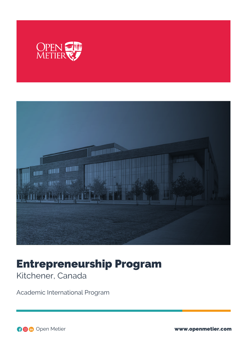



# Entrepreneurship Program

Kitchener, Canada

Academic International Program

Open Metier www.openmetier.com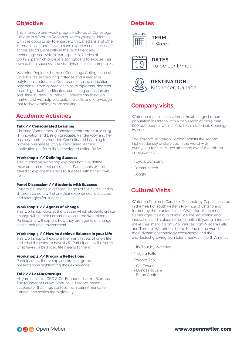# **Objective**

This intensive one-week program offered at Conestoga College in Waterloo Region provides young students with the opportunity to engage with Canadians and other international students who have experienced success across sectors, specially in the tech talent and technology ecosystem, participate in a series of workshops which provide a springboard to explore their own path to success, and visit dynamic local companies.

Waterloo Region is home of Conestoga College, one of Ontario's fastest growing colleges and a leader in polytechnic education. Our career-focused education programs – from apprenticeships to diplomas, degrees to post-graduate certificates, continuing education and part-time studies – all reflect Ontario's changing job market and will help you build the skills and knowledge that today's employers are seeking.

# **Academic Activities**

## Talk // Consolidated Learning

Christina Vanderkooy, Conestoga entrepreneur, a 2019 IT Innovation and Design graduate. Vanderkooy and her business partners founded Consolidated Learning to provide businesses with a web-based learning application platform they developed called RASA.

#### Workshop 1 // Defining Success

This interactive workshop explores how we define, measure and reflect on success. Participants will be asked to explore the steps to success within their own lives.

#### Panel Discussion // Students with Success

Dynamic students in different stages of their lives, and in different careers will share their experiences, obstacles, and strategies for success.

### Workshop 2 // Agents of Change

This workshop looks at the ways in which students create change within their communities and the workplace. Participants will explore how they are agents of change within their own environment.

## Workshop 3 // How to Achieve Balance in your Life

This workshop will explore the many facets of one's life and what it means 'to have it all'. Participants will discuss what having a balanced life means to them.

## Workshop 4 // Program Reflections

Participants will develop and present group presentations highlighting their experience.

### Talk // LatAm Startups

Miryam Lazarte - CEO & Co-Founder - LatAm Startups. The founder of LatAm Startups, a Toronto-based accelerator that rings startups from Latin America to Canada and scales them globally.

## **Detailes**



**DATES**

To be confirmed



**DESTINATION:** Kitchener, Canada

## **Company visits**

Waterloo region is considered the 4th largest urban population in Ontario with a population of more than 600,000 people, with 22, 000 tech related job openings by 2021.

The Toronto-Waterloo Corridor boasts the second highest density of start-ups in the world with over 5,200 tech start-ups attracting over \$670 million in investment.

- Toyota Company
- Communitech
- Google

# **Cultural Visits**

Waterloo Region is Canada's Technology Capital, located in the heart of southwestern Province of Ontario and formed by three unique cities (Waterloo, Kitchener, Cambridge). It's a hub of intelligence, education and innovation; and a place for bold, brilliant, young minds to make their mark. It's only 90 minutes from Niagara Falls and Toronto. Waterloo is home to one of the world's most dynamic technology ecosystems and the 2nd-fastest growing tech talent market in North America.

- City Tour by Waterloo
- Niagara Falls
- Toronto Trip
- CN Tower
- Dundas square
- Eaton Centre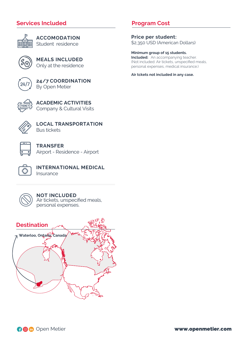# **Services Included**



**ACCOMODATION** Student residence

**MEALS INCLUDED** Only at the residence



**24/7 COORDINATION** By Open Metier



**ACADEMIC ACTIVITIES** Company & Cultural Visits



**LOCAL TRANSPORTATION** Bus tickets



**TRANSFER** Airport - Residence - Airport



**INTERNATIONAL MEDICAL Insurance** 



**NOT INCLUDED** Air tickets, unspecified meals, personal expenses.



# **Program Cost**

**Price per student:** \$2,350 USD (American Dollars)

**Minimum group of 15 students. Included:** An accompanying teacher. (Not included: Air tickets, unspecified meals, personal expenses, medical insurance.)

**Air tckets not included in any case.**